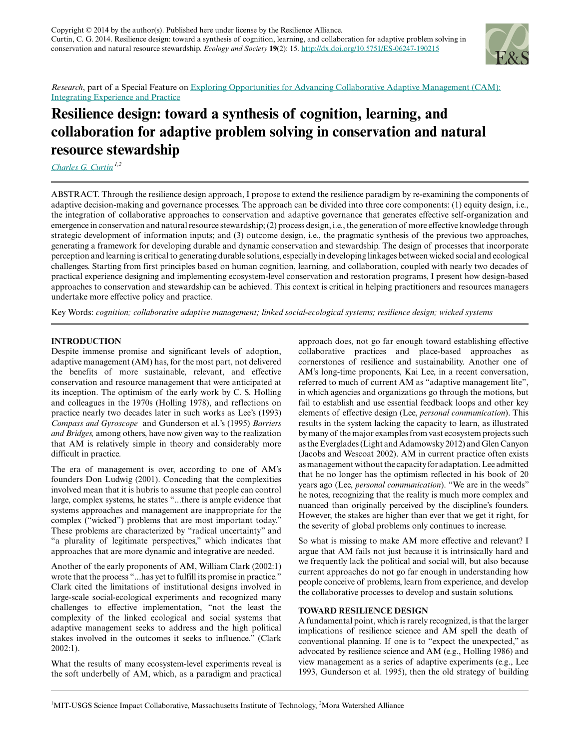

*Research*, part of a Special Feature on [Exploring Opportunities for Advancing Collaborative Adaptive Management \(CAM\):](http://www.ecologyandsociety.org/viewissue.php?sf=77) [Integrating Experience and Practice](http://www.ecologyandsociety.org/viewissue.php?sf=77)

# **Resilience design: toward a synthesis of cognition, learning, and collaboration for adaptive problem solving in conservation and natural resource stewardship**

*[Charles G. Curtin](mailto:ccurtin@earthlink.net) 1,2*

ABSTRACT. Through the resilience design approach, I propose to extend the resilience paradigm by re-examining the components of adaptive decision-making and governance processes. The approach can be divided into three core components: (1) equity design, i.e., the integration of collaborative approaches to conservation and adaptive governance that generates effective self-organization and emergence in conservation and natural resource stewardship; (2) process design, i.e., the generation of more effective knowledge through strategic development of information inputs; and (3) outcome design, i.e., the pragmatic synthesis of the previous two approaches, generating a framework for developing durable and dynamic conservation and stewardship. The design of processes that incorporate perception and learning is critical to generating durable solutions, especially in developing linkages between wicked social and ecological challenges. Starting from first principles based on human cognition, learning, and collaboration, coupled with nearly two decades of practical experience designing and implementing ecosystem-level conservation and restoration programs, I present how design-based approaches to conservation and stewardship can be achieved. This context is critical in helping practitioners and resources managers undertake more effective policy and practice.

Key Words: *cognition; collaborative adaptive management; linked social-ecological systems; resilience design; wicked systems*

# **INTRODUCTION**

Despite immense promise and significant levels of adoption, adaptive management (AM) has, for the most part, not delivered the benefits of more sustainable, relevant, and effective conservation and resource management that were anticipated at its inception. The optimism of the early work by C. S. Holling and colleagues in the 1970s (Holling 1978), and reflections on practice nearly two decades later in such works as Lee's (1993) *Compass and Gyroscope* and Gunderson et al.'s (1995) *Barriers and Bridges,* among others, have now given way to the realization that AM is relatively simple in theory and considerably more difficult in practice.

The era of management is over, according to one of AM's founders Don Ludwig (2001). Conceding that the complexities involved mean that it is hubris to assume that people can control large, complex systems, he states "...there is ample evidence that systems approaches and management are inappropriate for the complex ("wicked") problems that are most important today." These problems are characterized by "radical uncertainty" and "a plurality of legitimate perspectives," which indicates that approaches that are more dynamic and integrative are needed.

Another of the early proponents of AM, William Clark (2002:1) wrote that the process "...has yet to fulfill its promise in practice." Clark cited the limitations of institutional designs involved in large-scale social-ecological experiments and recognized many challenges to effective implementation, "not the least the complexity of the linked ecological and social systems that adaptive management seeks to address and the high political stakes involved in the outcomes it seeks to influence." (Clark 2002:1).

What the results of many ecosystem-level experiments reveal is the soft underbelly of AM, which, as a paradigm and practical approach does, not go far enough toward establishing effective collaborative practices and place-based approaches as cornerstones of resilience and sustainability. Another one of AM's long-time proponents, Kai Lee, in a recent conversation, referred to much of current AM as "adaptive management lite", in which agencies and organizations go through the motions, but fail to establish and use essential feedback loops and other key elements of effective design (Lee, *personal communication*). This results in the system lacking the capacity to learn, as illustrated by many of the major examples from vast ecosystem projects such as the Everglades (Light and Adamowsky 2012) and Glen Canyon (Jacobs and Wescoat 2002). AM in current practice often exists as management without the capacity for adaptation. Lee admitted that he no longer has the optimism reflected in his book of 20 years ago (Lee, *personal communication*). "We are in the weeds" he notes, recognizing that the reality is much more complex and nuanced than originally perceived by the discipline's founders. However, the stakes are higher than ever that we get it right, for the severity of global problems only continues to increase.

So what is missing to make AM more effective and relevant? I argue that AM fails not just because it is intrinsically hard and we frequently lack the political and social will, but also because current approaches do not go far enough in understanding how people conceive of problems, learn from experience, and develop the collaborative processes to develop and sustain solutions.

# **TOWARD RESILIENCE DESIGN**

A fundamental point, which is rarely recognized, is that the larger implications of resilience science and AM spell the death of conventional planning. If one is to "expect the unexpected," as advocated by resilience science and AM (e.g., Holling 1986) and view management as a series of adaptive experiments (e.g., Lee 1993, Gunderson et al. 1995), then the old strategy of building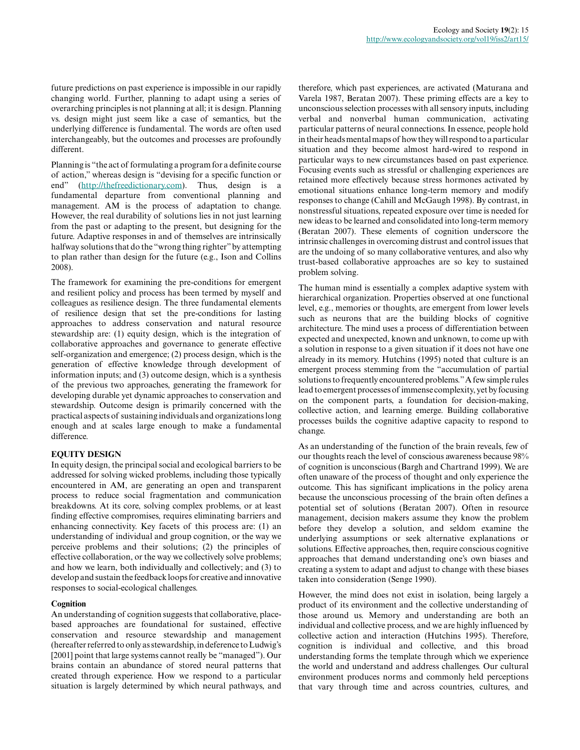future predictions on past experience is impossible in our rapidly changing world. Further, planning to adapt using a series of overarching principles is not planning at all; it is design. Planning vs. design might just seem like a case of semantics, but the underlying difference is fundamental. The words are often used interchangeably, but the outcomes and processes are profoundly different.

Planning is "the act of formulating a program for a definite course of action," whereas design is "devising for a specific function or end" (<http://thefreedictionary.com>). Thus, design is a fundamental departure from conventional planning and management. AM is the process of adaptation to change. However, the real durability of solutions lies in not just learning from the past or adapting to the present, but designing for the future. Adaptive responses in and of themselves are intrinsically halfway solutions that do the "wrong thing righter" by attempting to plan rather than design for the future (e.g., Ison and Collins 2008).

The framework for examining the pre-conditions for emergent and resilient policy and process has been termed by myself and colleagues as resilience design. The three fundamental elements of resilience design that set the pre-conditions for lasting approaches to address conservation and natural resource stewardship are: (1) equity design, which is the integration of collaborative approaches and governance to generate effective self-organization and emergence; (2) process design, which is the generation of effective knowledge through development of information inputs; and (3) outcome design, which is a synthesis of the previous two approaches, generating the framework for developing durable yet dynamic approaches to conservation and stewardship. Outcome design is primarily concerned with the practical aspects of sustaining individuals and organizations long enough and at scales large enough to make a fundamental difference.

# **EQUITY DESIGN**

In equity design, the principal social and ecological barriers to be addressed for solving wicked problems, including those typically encountered in AM, are generating an open and transparent process to reduce social fragmentation and communication breakdowns. At its core, solving complex problems, or at least finding effective compromises, requires eliminating barriers and enhancing connectivity. Key facets of this process are: (1) an understanding of individual and group cognition, or the way we perceive problems and their solutions; (2) the principles of effective collaboration, or the way we collectively solve problems; and how we learn, both individually and collectively; and (3) to develop and sustain the feedback loops for creative and innovative responses to social-ecological challenges.

# **Cognition**

An understanding of cognition suggests that collaborative, placebased approaches are foundational for sustained, effective conservation and resource stewardship and management (hereafter referred to only as stewardship, in deference to Ludwig's [2001] point that large systems cannot really be "managed"). Our brains contain an abundance of stored neural patterns that created through experience. How we respond to a particular situation is largely determined by which neural pathways, and

therefore, which past experiences, are activated (Maturana and Varela 1987, Beratan 2007). These priming effects are a key to unconscious selection processes with all sensory inputs, including verbal and nonverbal human communication, activating particular patterns of neural connections. In essence, people hold in their heads mental maps of how they will respond to a particular situation and they become almost hard-wired to respond in particular ways to new circumstances based on past experience. Focusing events such as stressful or challenging experiences are retained more effectively because stress hormones activated by emotional situations enhance long-term memory and modify responses to change (Cahill and McGaugh 1998). By contrast, in nonstressful situations, repeated exposure over time is needed for new ideas to be learned and consolidated into long-term memory (Beratan 2007). These elements of cognition underscore the intrinsic challenges in overcoming distrust and control issues that are the undoing of so many collaborative ventures, and also why trust-based collaborative approaches are so key to sustained problem solving.

The human mind is essentially a complex adaptive system with hierarchical organization. Properties observed at one functional level, e.g., memories or thoughts, are emergent from lower levels such as neurons that are the building blocks of cognitive architecture. The mind uses a process of differentiation between expected and unexpected, known and unknown, to come up with a solution in response to a given situation if it does not have one already in its memory. Hutchins (1995) noted that culture is an emergent process stemming from the "accumulation of partial solutions to frequently encountered problems." A few simple rules lead to emergent processes of immense complexity, yet by focusing on the component parts, a foundation for decision-making, collective action, and learning emerge. Building collaborative processes builds the cognitive adaptive capacity to respond to change.

As an understanding of the function of the brain reveals, few of our thoughts reach the level of conscious awareness because 98% of cognition is unconscious (Bargh and Chartrand 1999). We are often unaware of the process of thought and only experience the outcome. This has significant implications in the policy arena because the unconscious processing of the brain often defines a potential set of solutions (Beratan 2007). Often in resource management, decision makers assume they know the problem before they develop a solution, and seldom examine the underlying assumptions or seek alternative explanations or solutions. Effective approaches, then, require conscious cognitive approaches that demand understanding one's own biases and creating a system to adapt and adjust to change with these biases taken into consideration (Senge 1990).

However, the mind does not exist in isolation, being largely a product of its environment and the collective understanding of those around us. Memory and understanding are both an individual and collective process, and we are highly influenced by collective action and interaction (Hutchins 1995). Therefore, cognition is individual and collective, and this broad understanding forms the template through which we experience the world and understand and address challenges. Our cultural environment produces norms and commonly held perceptions that vary through time and across countries, cultures, and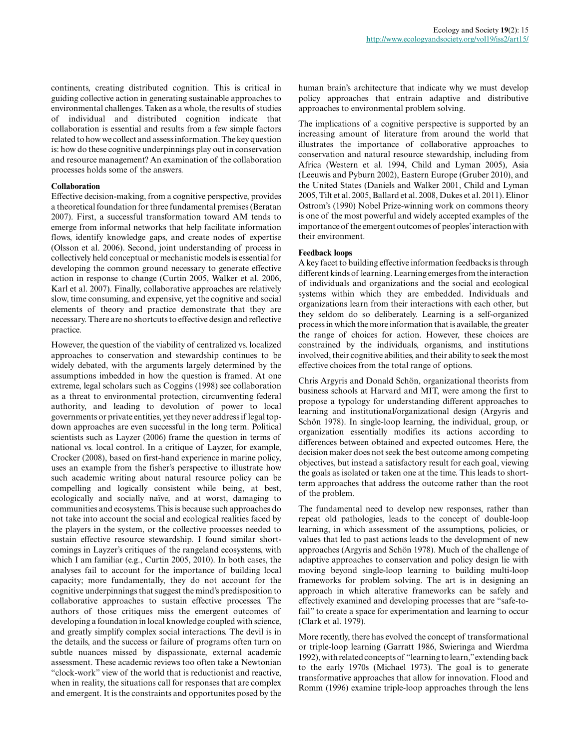continents, creating distributed cognition. This is critical in guiding collective action in generating sustainable approaches to environmental challenges. Taken as a whole, the results of studies of individual and distributed cognition indicate that collaboration is essential and results from a few simple factors related to how we collect and assess information. The key question is: how do these cognitive underpinnings play out in conservation and resource management? An examination of the collaboration processes holds some of the answers.

## **Collaboration**

Effective decision-making, from a cognitive perspective, provides a theoretical foundation for three fundamental premises (Beratan 2007). First, a successful transformation toward AM tends to emerge from informal networks that help facilitate information flows, identify knowledge gaps, and create nodes of expertise (Olsson et al. 2006). Second, joint understanding of process in collectively held conceptual or mechanistic models is essential for developing the common ground necessary to generate effective action in response to change (Curtin 2005, Walker et al. 2006, Karl et al. 2007). Finally, collaborative approaches are relatively slow, time consuming, and expensive, yet the cognitive and social elements of theory and practice demonstrate that they are necessary. There are no shortcuts to effective design and reflective practice.

However, the question of the viability of centralized vs. localized approaches to conservation and stewardship continues to be widely debated, with the arguments largely determined by the assumptions imbedded in how the question is framed. At one extreme, legal scholars such as Coggins (1998) see collaboration as a threat to environmental protection, circumventing federal authority, and leading to devolution of power to local governments or private entities, yet they never address if legal topdown approaches are even successful in the long term. Political scientists such as Layzer (2006) frame the question in terms of national vs. local control. In a critique of Layzer, for example, Crocker (2008), based on first-hand experience in marine policy, uses an example from the fisher's perspective to illustrate how such academic writing about natural resource policy can be compelling and logically consistent while being, at best, ecologically and socially naïve, and at worst, damaging to communities and ecosystems. This is because such approaches do not take into account the social and ecological realities faced by the players in the system, or the collective processes needed to sustain effective resource stewardship. I found similar shortcomings in Layzer's critiques of the rangeland ecosystems, with which I am familiar (e.g., Curtin 2005, 2010). In both cases, the analyses fail to account for the importance of building local capacity; more fundamentally, they do not account for the cognitive underpinnings that suggest the mind's predisposition to collaborative approaches to sustain effective processes. The authors of those critiques miss the emergent outcomes of developing a foundation in local knowledge coupled with science, and greatly simplify complex social interactions. The devil is in the details, and the success or failure of programs often turn on subtle nuances missed by dispassionate, external academic assessment. These academic reviews too often take a Newtonian "clock-work" view of the world that is reductionist and reactive, when in reality, the situations call for responses that are complex and emergent. It is the constraints and opportunites posed by the

human brain's architecture that indicate why we must develop policy approaches that entrain adaptive and distributive approaches to environmental problem solving.

The implications of a cognitive perspective is supported by an increasing amount of literature from around the world that illustrates the importance of collaborative approaches to conservation and natural resource stewardship, including from Africa (Western et al. 1994, Child and Lyman 2005), Asia (Leeuwis and Pyburn 2002), Eastern Europe (Gruber 2010), and the United States (Daniels and Walker 2001, Child and Lyman 2005, Tilt et al. 2005, Ballard et al. 2008, Dukes et al. 2011). Elinor Ostrom's (1990) Nobel Prize-winning work on commons theory is one of the most powerful and widely accepted examples of the importance of the emergent outcomes of peoples' interaction with their environment.

## **Feedback loops**

A key facet to building effective information feedbacks is through different kinds of learning. Learning emerges from the interaction of individuals and organizations and the social and ecological systems within which they are embedded. Individuals and organizations learn from their interactions with each other, but they seldom do so deliberately. Learning is a self-organized process in which the more information that is available, the greater the range of choices for action. However, these choices are constrained by the individuals, organisms, and institutions involved, their cognitive abilities, and their ability to seek the most effective choices from the total range of options.

Chris Argyris and Donald Schön, organizational theorists from business schools at Harvard and MIT, were among the first to propose a typology for understanding different approaches to learning and institutional/organizational design (Argyris and Schön 1978). In single-loop learning, the individual, group, or organization essentially modifies its actions according to differences between obtained and expected outcomes. Here, the decision maker does not seek the best outcome among competing objectives, but instead a satisfactory result for each goal, viewing the goals as isolated or taken one at the time. This leads to shortterm approaches that address the outcome rather than the root of the problem.

The fundamental need to develop new responses, rather than repeat old pathologies, leads to the concept of double-loop learning, in which assessment of the assumptions, policies, or values that led to past actions leads to the development of new approaches (Argyris and Schön 1978). Much of the challenge of adaptive approaches to conservation and policy design lie with moving beyond single-loop learning to building multi-loop frameworks for problem solving. The art is in designing an approach in which alterative frameworks can be safely and effectively examined and developing processes that are "safe-tofail" to create a space for experimentation and learning to occur (Clark et al. 1979).

More recently, there has evolved the concept of transformational or triple-loop learning (Garratt 1986, Swieringa and Wierdma 1992), with related concepts of "learning to learn," extending back to the early 1970s (Michael 1973). The goal is to generate transformative approaches that allow for innovation. Flood and Romm (1996) examine triple-loop approaches through the lens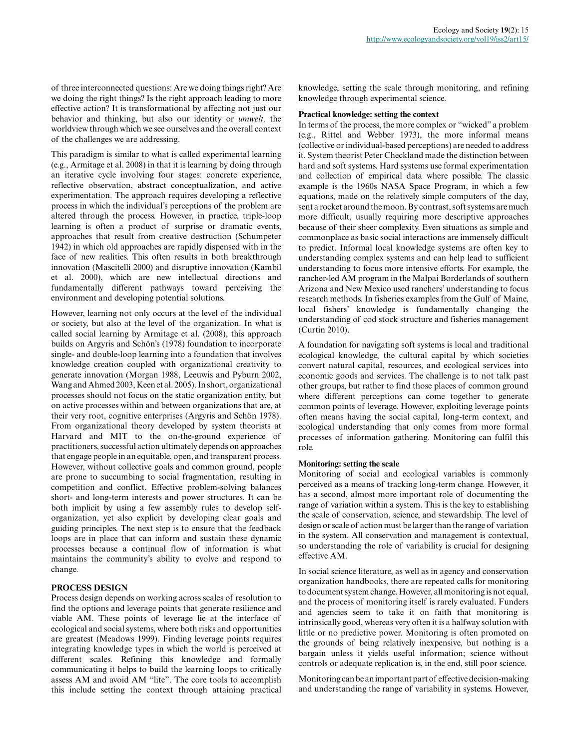of three interconnected questions: Are we doing things right? Are we doing the right things? Is the right approach leading to more effective action? It is transformational by affecting not just our behavior and thinking, but also our identity or *umwelt,* the worldview through which we see ourselves and the overall context of the challenges we are addressing.

This paradigm is similar to what is called experimental learning (e.g., Armitage et al. 2008) in that it is learning by doing through an iterative cycle involving four stages: concrete experience, reflective observation, abstract conceptualization, and active experimentation. The approach requires developing a reflective process in which the individual's perceptions of the problem are altered through the process. However, in practice, triple-loop learning is often a product of surprise or dramatic events, approaches that result from creative destruction (Schumpeter 1942) in which old approaches are rapidly dispensed with in the face of new realities. This often results in both breakthrough innovation (Mascitelli 2000) and disruptive innovation (Kambil et al. 2000), which are new intellectual directions and fundamentally different pathways toward perceiving the environment and developing potential solutions.

However, learning not only occurs at the level of the individual or society, but also at the level of the organization. In what is called social learning by Armitage et al. (2008), this approach builds on Argyris and Schön's (1978) foundation to incorporate single- and double-loop learning into a foundation that involves knowledge creation coupled with organizational creativity to generate innovation (Morgan 1988, Leeuwis and Pyburn 2002, Wang and Ahmed 2003, Keen et al. 2005). In short, organizational processes should not focus on the static organization entity, but on active processes within and between organizations that are, at their very root, cognitive enterprises (Argyris and Schön 1978). From organizational theory developed by system theorists at Harvard and MIT to the on-the-ground experience of practitioners, successful action ultimately depends on approaches that engage people in an equitable, open, and transparent process. However, without collective goals and common ground, people are prone to succumbing to social fragmentation, resulting in competition and conflict. Effective problem-solving balances short- and long-term interests and power structures. It can be both implicit by using a few assembly rules to develop selforganization, yet also explicit by developing clear goals and guiding principles. The next step is to ensure that the feedback loops are in place that can inform and sustain these dynamic processes because a continual flow of information is what maintains the community's ability to evolve and respond to change.

## **PROCESS DESIGN**

Process design depends on working across scales of resolution to find the options and leverage points that generate resilience and viable AM. These points of leverage lie at the interface of ecological and social systems, where both risks and opportunities are greatest (Meadows 1999). Finding leverage points requires integrating knowledge types in which the world is perceived at different scales. Refining this knowledge and formally communicating it helps to build the learning loops to critically assess AM and avoid AM "lite". The core tools to accomplish this include setting the context through attaining practical

knowledge, setting the scale through monitoring, and refining knowledge through experimental science.

#### **Practical knowledge: setting the context**

In terms of the process, the more complex or "wicked" a problem (e.g., Rittel and Webber 1973), the more informal means (collective or individual-based perceptions) are needed to address it. System theorist Peter Checkland made the distinction between hard and soft systems. Hard systems use formal experimentation and collection of empirical data where possible. The classic example is the 1960s NASA Space Program, in which a few equations, made on the relatively simple computers of the day, sent a rocket around the moon. By contrast, soft systems are much more difficult, usually requiring more descriptive approaches because of their sheer complexity. Even situations as simple and commonplace as basic social interactions are immensely difficult to predict. Informal local knowledge systems are often key to understanding complex systems and can help lead to sufficient understanding to focus more intensive efforts. For example, the rancher-led AM program in the Malpai Borderlands of southern Arizona and New Mexico used ranchers' understanding to focus research methods. In fisheries examples from the Gulf of Maine, local fishers' knowledge is fundamentally changing the understanding of cod stock structure and fisheries management (Curtin 2010).

A foundation for navigating soft systems is local and traditional ecological knowledge, the cultural capital by which societies convert natural capital, resources, and ecological services into economic goods and services. The challenge is to not talk past other groups, but rather to find those places of common ground where different perceptions can come together to generate common points of leverage. However, exploiting leverage points often means having the social capital, long-term context, and ecological understanding that only comes from more formal processes of information gathering. Monitoring can fulfil this role.

#### **Monitoring: setting the scale**

Monitoring of social and ecological variables is commonly perceived as a means of tracking long-term change. However, it has a second, almost more important role of documenting the range of variation within a system. This is the key to establishing the scale of conservation, science, and stewardship. The level of design or scale of action must be larger than the range of variation in the system. All conservation and management is contextual, so understanding the role of variability is crucial for designing effective AM.

In social science literature, as well as in agency and conservation organization handbooks, there are repeated calls for monitoring to document system change. However, all monitoring is not equal, and the process of monitoring itself is rarely evaluated. Funders and agencies seem to take it on faith that monitoring is intrinsically good, whereas very often it is a halfway solution with little or no predictive power. Monitoring is often promoted on the grounds of being relatively inexpensive, but nothing is a bargain unless it yields useful information; science without controls or adequate replication is, in the end, still poor science.

Monitoring can be an important part of effective decision-making and understanding the range of variability in systems. However,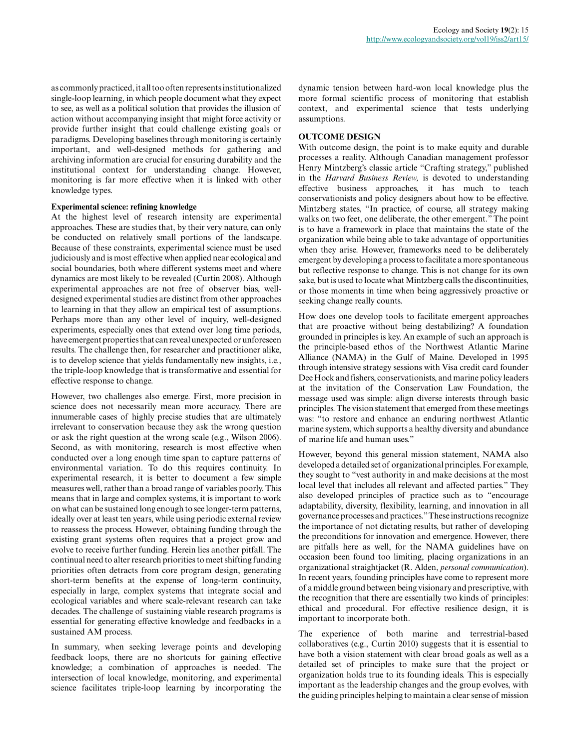as commonly practiced, it all too often represents institutionalized single-loop learning, in which people document what they expect to see, as well as a political solution that provides the illusion of action without accompanying insight that might force activity or provide further insight that could challenge existing goals or paradigms. Developing baselines through monitoring is certainly important, and well-designed methods for gathering and archiving information are crucial for ensuring durability and the institutional context for understanding change. However, monitoring is far more effective when it is linked with other knowledge types.

#### **Experimental science: refining knowledge**

At the highest level of research intensity are experimental approaches. These are studies that, by their very nature, can only be conducted on relatively small portions of the landscape. Because of these constraints, experimental science must be used judiciously and is most effective when applied near ecological and social boundaries, both where different systems meet and where dynamics are most likely to be revealed (Curtin 2008). Although experimental approaches are not free of observer bias, welldesigned experimental studies are distinct from other approaches to learning in that they allow an empirical test of assumptions. Perhaps more than any other level of inquiry, well-designed experiments, especially ones that extend over long time periods, have emergent properties that can reveal unexpected or unforeseen results. The challenge then, for researcher and practitioner alike, is to develop science that yields fundamentally new insights, i.e., the triple-loop knowledge that is transformative and essential for effective response to change.

However, two challenges also emerge. First, more precision in science does not necessarily mean more accuracy. There are innumerable cases of highly precise studies that are ultimately irrelevant to conservation because they ask the wrong question or ask the right question at the wrong scale (e.g., Wilson 2006). Second, as with monitoring, research is most effective when conducted over a long enough time span to capture patterns of environmental variation. To do this requires continuity. In experimental research, it is better to document a few simple measures well, rather than a broad range of variables poorly. This means that in large and complex systems, it is important to work on what can be sustained long enough to see longer-term patterns, ideally over at least ten years, while using periodic external review to reassess the process. However, obtaining funding through the existing grant systems often requires that a project grow and evolve to receive further funding. Herein lies another pitfall. The continual need to alter research priorities to meet shifting funding priorities often detracts from core program design, generating short-term benefits at the expense of long-term continuity, especially in large, complex systems that integrate social and ecological variables and where scale-relevant research can take decades. The challenge of sustaining viable research programs is essential for generating effective knowledge and feedbacks in a sustained AM process.

In summary, when seeking leverage points and developing feedback loops, there are no shortcuts for gaining effective knowledge; a combination of approaches is needed. The intersection of local knowledge, monitoring, and experimental science facilitates triple-loop learning by incorporating the

dynamic tension between hard-won local knowledge plus the more formal scientific process of monitoring that establish context, and experimental science that tests underlying assumptions.

#### **OUTCOME DESIGN**

With outcome design, the point is to make equity and durable processes a reality. Although Canadian management professor Henry Mintzberg's classic article "Crafting strategy," published in the *Harvard Business Review,* is devoted to understanding effective business approaches, it has much to teach conservationists and policy designers about how to be effective. Mintzberg states, "In practice, of course, all strategy making walks on two feet, one deliberate, the other emergent." The point is to have a framework in place that maintains the state of the organization while being able to take advantage of opportunities when they arise. However, frameworks need to be deliberately emergent by developing a process to facilitate a more spontaneous but reflective response to change. This is not change for its own sake, but is used to locate what Mintzberg calls the discontinuities, or those moments in time when being aggressively proactive or seeking change really counts.

How does one develop tools to facilitate emergent approaches that are proactive without being destabilizing? A foundation grounded in principles is key. An example of such an approach is the principle-based ethos of the Northwest Atlantic Marine Alliance (NAMA) in the Gulf of Maine. Developed in 1995 through intensive strategy sessions with Visa credit card founder Dee Hock and fishers, conservationists, and marine policy leaders at the invitation of the Conservation Law Foundation, the message used was simple: align diverse interests through basic principles. The vision statement that emerged from these meetings was: "to restore and enhance an enduring northwest Atlantic marine system, which supports a healthy diversity and abundance of marine life and human uses."

However, beyond this general mission statement, NAMA also developed a detailed set of organizational principles. For example, they sought to "vest authority in and make decisions at the most local level that includes all relevant and affected parties." They also developed principles of practice such as to "encourage adaptability, diversity, flexibility, learning, and innovation in all governance processes and practices." These instructions recognize the importance of not dictating results, but rather of developing the preconditions for innovation and emergence. However, there are pitfalls here as well, for the NAMA guidelines have on occasion been found too limiting, placing organizations in an organizational straightjacket (R. Alden, *personal communication*). In recent years, founding principles have come to represent more of a middle ground between being visionary and prescriptive, with the recognition that there are essentially two kinds of principles: ethical and procedural. For effective resilience design, it is important to incorporate both.

The experience of both marine and terrestrial-based collaboratives (e.g., Curtin 2010) suggests that it is essential to have both a vision statement with clear broad goals as well as a detailed set of principles to make sure that the project or organization holds true to its founding ideals. This is especially important as the leadership changes and the group evolves, with the guiding principles helping to maintain a clear sense of mission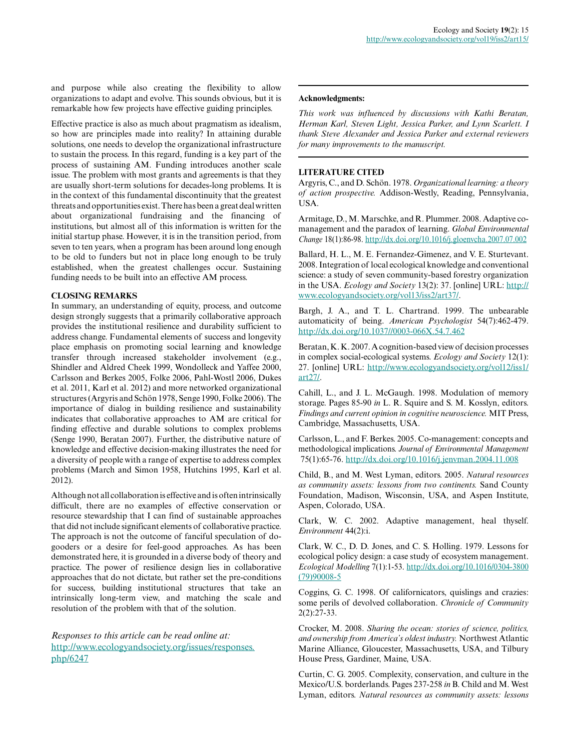and purpose while also creating the flexibility to allow organizations to adapt and evolve. This sounds obvious, but it is remarkable how few projects have effective guiding principles.

Effective practice is also as much about pragmatism as idealism, so how are principles made into reality? In attaining durable solutions, one needs to develop the organizational infrastructure to sustain the process. In this regard, funding is a key part of the process of sustaining AM. Funding introduces another scale issue. The problem with most grants and agreements is that they are usually short-term solutions for decades-long problems. It is in the context of this fundamental discontinuity that the greatest threats and opportunities exist. There has been a great deal written about organizational fundraising and the financing of institutions, but almost all of this information is written for the initial startup phase. However, it is in the transition period, from seven to ten years, when a program has been around long enough to be old to funders but not in place long enough to be truly established, when the greatest challenges occur. Sustaining funding needs to be built into an effective AM process.

## **CLOSING REMARKS**

In summary, an understanding of equity, process, and outcome design strongly suggests that a primarily collaborative approach provides the institutional resilience and durability sufficient to address change. Fundamental elements of success and longevity place emphasis on promoting social learning and knowledge transfer through increased stakeholder involvement (e.g., Shindler and Aldred Cheek 1999, Wondolleck and Yaffee 2000, Carlsson and Berkes 2005, Folke 2006, Pahl-Wostl 2006, Dukes et al. 2011, Karl et al. 2012) and more networked organizational structures (Argyris and Schön 1978, Senge 1990, Folke 2006). The importance of dialog in building resilience and sustainability indicates that collaborative approaches to AM are critical for finding effective and durable solutions to complex problems (Senge 1990, Beratan 2007). Further, the distributive nature of knowledge and effective decision-making illustrates the need for a diversity of people with a range of expertise to address complex problems (March and Simon 1958, Hutchins 1995, Karl et al. 2012).

Although not all collaboration is effective and is often intrinsically difficult, there are no examples of effective conservation or resource stewardship that I can find of sustainable approaches that did not include significant elements of collaborative practice. The approach is not the outcome of fanciful speculation of dogooders or a desire for feel-good approaches. As has been demonstrated here, it is grounded in a diverse body of theory and practice. The power of resilience design lies in collaborative approaches that do not dictate, but rather set the pre-conditions for success, building institutional structures that take an intrinsically long-term view, and matching the scale and resolution of the problem with that of the solution.

*Responses to this article can be read online at:* [http://www.ecologyandsociety.org/issues/responses.](http://www.ecologyandsociety.org/issues/responses.php/6247) [php/6247](http://www.ecologyandsociety.org/issues/responses.php/6247)

#### **Acknowledgments:**

*This work was influenced by discussions with Kathi Beratan, Herman Karl, Steven Light, Jessica Parker, and Lynn Scarlett. I thank Steve Alexander and Jessica Parker and external reviewers for many improvements to the manuscript.*

## **LITERATURE CITED**

Argyris, C., and D. Schön. 1978. *Organizational learning: a theory of action prospective.* Addison-Westly, Reading, Pennsylvania, USA.

Armitage, D., M. Marschke, and R. Plummer. 2008. Adaptive comanagement and the paradox of learning. *Global Environmental Change* 18(1):86-98. <http://dx.doi.org/10.1016/j.gloenvcha.2007.07.002>

Ballard, H. L., M. E. Fernandez-Gimenez, and V. E. Sturtevant. 2008. Integration of local ecological knowledge and conventional science: a study of seven community-based forestry organization in the USA. *Ecology and Society* 13(2): 37. [online] URL: [http://](http://www.ecologyandsociety.org/vol13/iss2/art37/) [www.ecologyandsociety.org/vol13/iss2/art37/](http://www.ecologyandsociety.org/vol13/iss2/art37/).

Bargh, J. A., and T. L. Chartrand. 1999. The unbearable automaticity of being. *American Psychologist* 54(7):462-479. <http://dx.doi.org/10.1037//0003-066X.54.7.462>

Beratan, K. K. 2007. A cognition-based view of decision processes in complex social-ecological systems. *Ecology and Society* 12(1): 27. [online] URL: [http://www.ecologyandsociety.org/vol12/iss1/](http://www.ecologyandsociety.org/vol12/iss1/art27/) [art27/](http://www.ecologyandsociety.org/vol12/iss1/art27/).

Cahill, L., and J. L. McGaugh. 1998. Modulation of memory storage. Pages 85-90 *in* L. R. Squire and S. M. Kosslyn, editors. *Findings and current opinion in cognitive neuroscience.* MIT Press, Cambridge, Massachusetts, USA.

Carlsson, L., and F. Berkes. 2005. Co-management: concepts and methodological implications. *Journal of Environmental Management* 75(1):65-76. <http://dx.doi.org/10.1016/j.jenvman.2004.11.008>

Child, B., and M. West Lyman, editors. 2005. *Natural resources as community assets: lessons from two continents.* Sand County Foundation, Madison, Wisconsin, USA, and Aspen Institute, Aspen, Colorado, USA.

Clark, W. C. 2002. Adaptive management, heal thyself. *Environment* 44(2):i.

Clark, W. C., D. D. Jones, and C. S. Holling. 1979. Lessons for ecological policy design: a case study of ecosystem management. *Ecological Modelling* 7(1):1-53. [http://dx.doi.org/10.1016/0304-3800](http://dx.doi.org/10.1016/0304-3800(79)90008-5) [\(79\)90008-5](http://dx.doi.org/10.1016/0304-3800(79)90008-5)

Coggins, G. C. 1998. Of californicators, quislings and crazies: some perils of devolved collaboration. *Chronicle of Community* 2(2):27-33.

Crocker, M. 2008. *Sharing the ocean: stories of science, politics, and ownership from America's oldest industry.* Northwest Atlantic Marine Alliance, Gloucester, Massachusetts, USA, and Tilbury House Press, Gardiner, Maine, USA.

Curtin, C. G. 2005. Complexity, conservation, and culture in the Mexico/U.S. borderlands. Pages 237-258 *in* B. Child and M. West Lyman, editors. *Natural resources as community assets: lessons*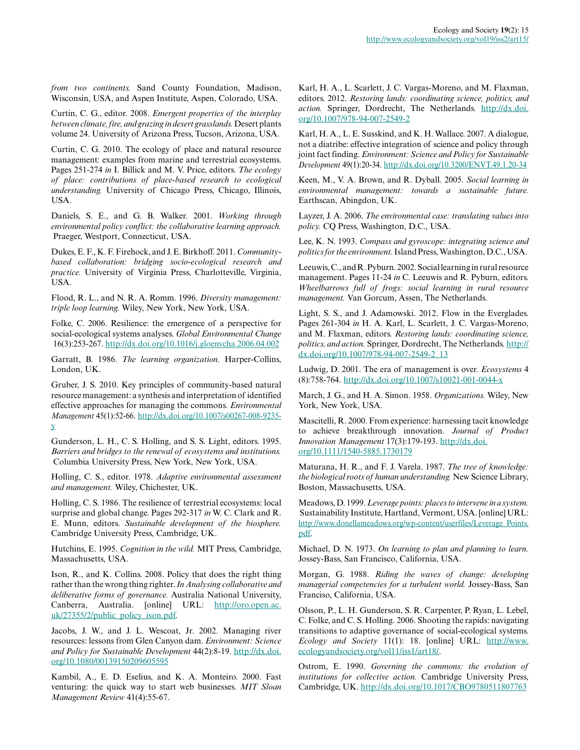*from two continents.* Sand County Foundation, Madison, Wisconsin, USA, and Aspen Institute, Aspen, Colorado, USA.

Curtin, C. G., editor. 2008. *Emergent properties of the interplay between climate, fire, and grazing in desert grasslands.* Desert plants volume 24. University of Arizona Press, Tucson, Arizona, USA.

Curtin, C. G. 2010. The ecology of place and natural resource management: examples from marine and terrestrial ecosystems. Pages 251-274 *in* I. Billick and M. V. Price, editors. *The ecology of place: contributions of place-based research to ecological understanding.* University of Chicago Press, Chicago, Illinois, USA.

Daniels, S. E., and G. B. Walker. 2001. *Working through environmental policy conflict: the collaborative learning approach.* Praeger, Westport, Connecticut, USA.

Dukes, E. F., K. F. Firehock, and J. E. Birkhoff. 2011. *Communitybased collaboration: bridging socio-ecological research and practice.* University of Virginia Press, Charlotteville, Virginia, USA.

Flood, R. L., and N. R. A. Romm. 1996. *Diversity management: triple loop learning.* Wiley, New York, New York, USA.

Folke, C. 2006. Resilience: the emergence of a perspective for social-ecological systems analyses. *Global Environmental Change* 16(3):253-267.<http://dx.doi.org/10.1016/j.gloenvcha.2006.04.002>

Garratt, B. 1986. *The learning organization.* Harper-Collins, London, UK.

Gruber, J. S. 2010. Key principles of community-based natural resource management: a synthesis and interpretation of identified effective approaches for managing the commons. *Environmental Management* 45(1):52-66. [http://dx.doi.org/10.1007/s00267-008-9235](http://dx.doi.org/10.1007/s00267-008-9235-y) [y](http://dx.doi.org/10.1007/s00267-008-9235-y)

Gunderson, L. H., C. S. Holling, and S. S. Light, editors. 1995. *Barriers and bridges to the renewal of ecosystems and institutions.* Columbia University Press, New York, New York, USA.

Holling, C. S., editor. 1978. *Adaptive environmental assessment and management.* Wiley, Chichester, UK.

Holling, C. S. 1986. The resilience of terrestrial ecosystems: local surprise and global change. Pages 292-317 *in* W. C. Clark and R. E. Munn, editors. *Sustainable development of the biosphere.* Cambridge University Press, Cambridge, UK.

Hutchins, E. 1995. *Cognition in the wild.* MIT Press, Cambridge, Massachusetts, USA.

Ison, R., and K. Collins. 2008. Policy that does the right thing rather than the wrong thing righter. *In Analysing collaborative and deliberative forms of governance.* Australia National University, Canberra, Australia. [online] URL: [http://oro.open.ac.](http://oro.open.ac.uk/27355/2/public_policy_ison.pdf) [uk/27355/2/public\\_policy\\_ison.pdf.](http://oro.open.ac.uk/27355/2/public_policy_ison.pdf)

Jacobs, J. W., and J. L. Wescoat, Jr. 2002. Managing river resources: lessons from Glen Canyon dam. *Environment: Science and Policy for Sustainable Development* 44(2):8-19. [http://dx.doi.](http://dx.doi.org/10.1080/00139150209605595) [org/10.1080/00139150209605595](http://dx.doi.org/10.1080/00139150209605595)

Kambil, A., E. D. Eselius, and K. A. Monteiro. 2000. Fast venturing: the quick way to start web businesses. *MIT Sloan Management Review* 41(4):55-67.

Karl, H. A., L. Scarlett, J. C. Vargas-Moreno, and M. Flaxman, editors. 2012. *Restoring lands: coordinating science, politics, and action.* Springer, Dordrecht, The Netherlands. [http://dx.doi.](http://dx.doi.org/10.1007/978-94-007-2549-2) [org/10.1007/978-94-007-2549-2](http://dx.doi.org/10.1007/978-94-007-2549-2)

Karl, H. A., L. E. Susskind, and K. H. Wallace. 2007. A dialogue, not a diatribe: effective integration of science and policy through joint fact finding. *Environment: Science and Policy for Sustainable Development* 49(1):20-34.<http://dx.doi.org/10.3200/ENVT.49.1.20-34>

Keen, M., V. A. Brown, and R. Dyball. 2005. *Social learning in environmental management: towards a sustainable future.* Earthscan, Abingdon, UK.

Layzer, J. A. 2006. *The environmental case: translating values into policy.* CQ Press, Washington, D.C., USA.

Lee, K. N. 1993. *Compass and gyroscope: integrating science and politics for the environment.* Island Press, Washington, D.C., USA.

Leeuwis, C., and R. Pyburn. 2002. Social learning in rural resource management. Pages 11-24 *in* C. Leeuwis and R. Pyburn, editors. *Wheelbarrows full of frogs: social learning in rural resource management.* Van Gorcum, Assen, The Netherlands.

Light, S. S., and J. Adamowski. 2012. Flow in the Everglades. Pages 261-304 *in* H. A. Karl, L. Scarlett, J. C. Vargas-Moreno, and M. Flaxman, editors. *Restoring lands: coordinating science, politics, and action.* Springer, Dordrecht, The Netherlands. [http://](http://dx.doi.org/10.1007/978-94-007-2549-2_13) [dx.doi.org/10.1007/978-94-007-2549-2\\_13](http://dx.doi.org/10.1007/978-94-007-2549-2_13)

Ludwig, D. 2001. The era of management is over. *Ecosystems* 4 (8):758-764. <http://dx.doi.org/10.1007/s10021-001-0044-x>

March, J. G., and H. A. Simon. 1958. *Organizations.* Wiley, New York, New York, USA.

Mascitelli, R. 2000. From experience: harnessing tacit knowledge to achieve breakthrough innovation. *Journal of Product Innovation Management* 17(3):179-193. [http://dx.doi.](http://dx.doi.org/10.1111/1540-5885.1730179) [org/10.1111/1540-5885.1730179](http://dx.doi.org/10.1111/1540-5885.1730179)

Maturana, H. R., and F. J. Varela. 1987. *The tree of knowledge: the biological roots of human understanding.* New Science Library, Boston, Massachusetts, USA.

Meadows, D. 1999. *Leverage points: places to intervene in a system.* Sustainability Institute, Hartland, Vermont, USA. [online] URL: [http://www.donellameadows.org/wp-content/userfiles/Leverage\\_Points.](http://www.donellameadows.org/wp-content/userfiles/Leverage_Points.pdf) [pdf.](http://www.donellameadows.org/wp-content/userfiles/Leverage_Points.pdf)

Michael, D. N. 1973. *On learning to plan and planning to learn.* Jossey-Bass, San Francisco, California, USA.

Morgan, G. 1988. *Riding the waves of change: developing managerial competencies for a turbulent world.* Jossey-Bass, San Franciso, California, USA.

Olsson, P., L. H. Gunderson, S. R. Carpenter, P. Ryan, L. Lebel, C. Folke, and C. S. Holling. 2006. Shooting the rapids: navigating transitions to adaptive governance of social-ecological systems. *Ecology and Society* 11(1): 18. [online] URL: [http://www.](http://www.ecologyandsociety.org/vol11/iss1/art18/) [ecologyandsociety.org/vol11/iss1/art18/](http://www.ecologyandsociety.org/vol11/iss1/art18/).

Ostrom, E. 1990. *Governing the commons: the evolution of institutions for collective action.* Cambridge University Press, Cambridge, UK.<http://dx.doi.org/10.1017/CBO9780511807763>